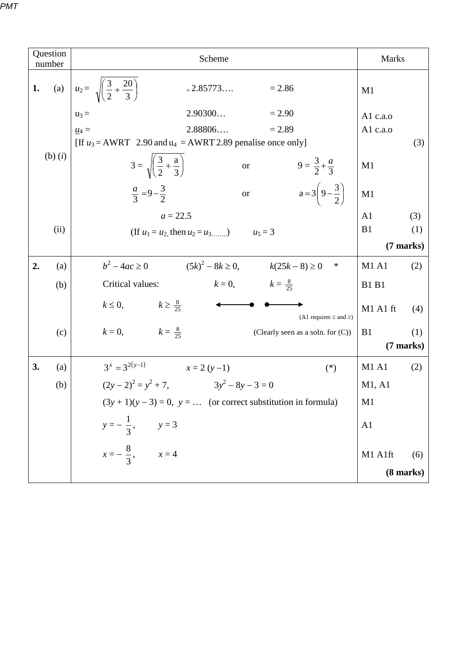| Question<br>number |                                                           | Scheme                                                                    |                                                  | <b>Marks</b>          |  |
|--------------------|-----------------------------------------------------------|---------------------------------------------------------------------------|--------------------------------------------------|-----------------------|--|
| 1.                 |                                                           | (a) $u_2 = \sqrt{\left(\frac{3}{2} + \frac{20}{3}\right)}$<br>$= 2.85773$ | $= 2.86$                                         | M1                    |  |
|                    |                                                           | 2.90300<br>$u_3 =$                                                        | $= 2.90$                                         | A $1$ c.a.o           |  |
|                    |                                                           | 2.88806<br>$\underline{u_4} =$                                            | $= 2.89$                                         | A1 c.a.o              |  |
|                    |                                                           | [If $u_3$ = AWRT 2.90 and $u_4$ = AWRT 2.89 penalise once only]           |                                                  | (3)                   |  |
|                    | $(b)$ $(i)$                                               | $3 = \sqrt{\left(\frac{3}{2} + \frac{a}{3}\right)}$                       | $9 = \frac{3}{2} + \frac{a}{3}$<br><b>or</b>     | M1                    |  |
|                    |                                                           | $\frac{a}{3} = 9 - \frac{3}{2}$                                           | $a = 3\left(9 - \frac{3}{2}\right)$<br><b>or</b> | M1                    |  |
|                    |                                                           | $a = 22.5$                                                                |                                                  |                       |  |
|                    | (ii)<br>(If $u_1 = u_2$ , then $u_2 = u_3$ )<br>$u_5 = 3$ |                                                                           |                                                  | B1<br>(1)             |  |
|                    |                                                           |                                                                           | (7 marks)                                        |                       |  |
| 2.                 | (a)                                                       | $b^2 - 4ac \ge 0$ $(5k)^2 - 8k \ge 0,$ $k(25k - 8) \ge 0$                 | ∗                                                | <b>M1 A1</b><br>(2)   |  |
|                    | (b)                                                       | Critical values:                                                          | $k = 0,$ $k = \frac{8}{25}$                      | <b>B1 B1</b>          |  |
|                    |                                                           | $k \leq 0$ , $k \geq \frac{8}{25}$                                        | (A1 requires $\leq$ and $\geq$ )                 | M1 A1 ft<br>(4)       |  |
|                    | (c)                                                       | $k = 0,$ $k = \frac{8}{25}$                                               | (Clearly seen as a soln. for $(C)$ )             | B <sub>1</sub><br>(1) |  |
|                    |                                                           |                                                                           |                                                  | $(7$ marks)           |  |
| 3.                 | (a)                                                       | $3^x = 3^{2(y-1)}$<br>$x = 2(y-1)$                                        | $(*)$                                            | <b>M1 A1</b><br>(2)   |  |
|                    | (b)                                                       | $(2y-2)^2 = y^2 + 7$ , $3y^2 - 8y - 3 = 0$                                |                                                  | M1, A1                |  |
|                    |                                                           | $(3y + 1)(y - 3) = 0$ , $y = $ (or correct substitution in formula)       | M1                                               |                       |  |
|                    |                                                           | $y = -\frac{1}{3}, \qquad y = 3$                                          |                                                  | A <sub>1</sub>        |  |
|                    |                                                           | $x = -\frac{8}{3}, \qquad x = 4$                                          |                                                  | M1 A1ft<br>(6)        |  |
|                    |                                                           |                                                                           |                                                  | $(8 \text{ marks})$   |  |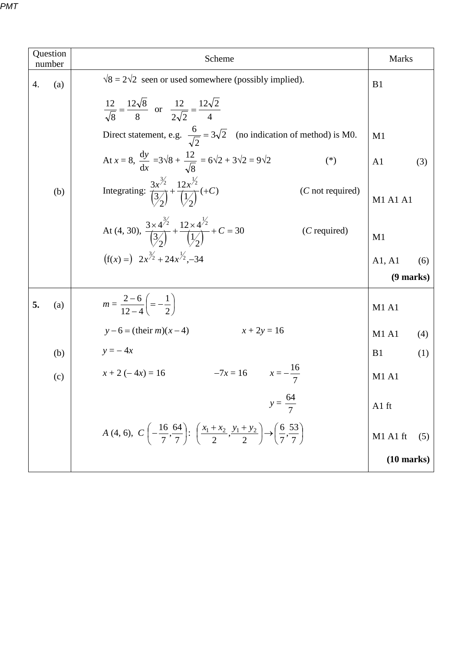| Question<br>number | Scheme                                                                                                                                                             | <b>Marks</b>          |  |
|--------------------|--------------------------------------------------------------------------------------------------------------------------------------------------------------------|-----------------------|--|
| 4.<br>(a)          | $\sqrt{8} = 2\sqrt{2}$ seen or used somewhere (possibly implied).                                                                                                  | B <sub>1</sub>        |  |
|                    | $rac{12}{\sqrt{8}} = \frac{12\sqrt{8}}{8}$ or $rac{12}{2\sqrt{2}} = \frac{12\sqrt{2}}{4}$                                                                          |                       |  |
|                    | Direct statement, e.g. $\frac{6}{\sqrt{2}} = 3\sqrt{2}$ (no indication of method) is M0.                                                                           | M1                    |  |
|                    | At $x = 8$ , $\frac{dy}{dx} = 3\sqrt{8} + \frac{12}{\sqrt{8}} = 6\sqrt{2} + 3\sqrt{2} = 9\sqrt{2}$<br>$(*)$                                                        | A <sub>1</sub><br>(3) |  |
| (b)                | Integrating: $\frac{3x^{3/2}}{3/2} + \frac{12x^{3/2}}{1/2} (+C)$<br>$(C$ not required)                                                                             | M1 A1 A1              |  |
|                    | At (4, 30), $\frac{3 \times 4^{3/2}}{3/2} + \frac{12 \times 4^{3/2}}{1/2} + C = 30$<br>$(C$ required)                                                              | M1                    |  |
|                    | $(f(x) =) 2x^{3/2} + 24x^{1/2} - 34$                                                                                                                               | A1, A1<br>(6)         |  |
|                    |                                                                                                                                                                    |                       |  |
| 5.<br>(a)          | $m = \frac{2-6}{12-4} = -\frac{1}{2}$                                                                                                                              | M1 A1                 |  |
|                    | $x + 2y = 16$<br>$y-6 = (their m)(x-4)$                                                                                                                            | <b>M1 A1</b><br>(4)   |  |
| (b)                | $y = -4x$                                                                                                                                                          | B1<br>(1)             |  |
| (c)                | $-7x = 16$ $x = -\frac{16}{7}$<br>$x + 2(-4x) = 16$                                                                                                                | <b>M1 A1</b>          |  |
|                    | $y = \frac{64}{7}$                                                                                                                                                 | A1 ft                 |  |
|                    | A (4, 6), $C\left(-\frac{16}{7}, \frac{64}{7}\right)$ : $\left(\frac{x_1 + x_2}{2}, \frac{y_1 + y_2}{2}\right) \rightarrow \left(\frac{6}{7}, \frac{53}{7}\right)$ | M1 A1 ft<br>(5)       |  |
|                    |                                                                                                                                                                    |                       |  |